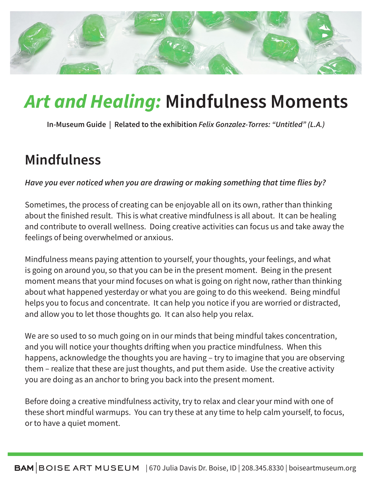

## *Art and Healing:* **Mindfulness Moments**

In-Museum Guide | Related to the exhibition *Felix Gonzalez-Torres: "Untitled" (L.A.)*

### **Mindfulness**

*Have you ever noticed when you are drawing or making something that time flies by?*

Sometimes, the process of creating can be enjoyable all on its own, rather than thinking about the finished result. This is what creative mindfulness is all about. It can be healing and contribute to overall wellness. Doing creative activities can focus us and take away the feelings of being overwhelmed or anxious.

Mindfulness means paying attention to yourself, your thoughts, your feelings, and what is going on around you, so that you can be in the present moment. Being in the present moment means that your mind focuses on what is going on right now, rather than thinking about what happened yesterday or what you are going to do this weekend. Being mindful helps you to focus and concentrate. It can help you notice if you are worried or distracted, and allow you to let those thoughts go. It can also help you relax.

We are so used to so much going on in our minds that being mindful takes concentration, and you will notice your thoughts drifting when you practice mindfulness. When this happens, acknowledge the thoughts you are having – try to imagine that you are observing them – realize that these are just thoughts, and put them aside. Use the creative activity you are doing as an anchor to bring you back into the present moment.

Before doing a creative mindfulness activity, try to relax and clear your mind with one of these short mindful warmups. You can try these at any time to help calm yourself, to focus, or to have a quiet moment.